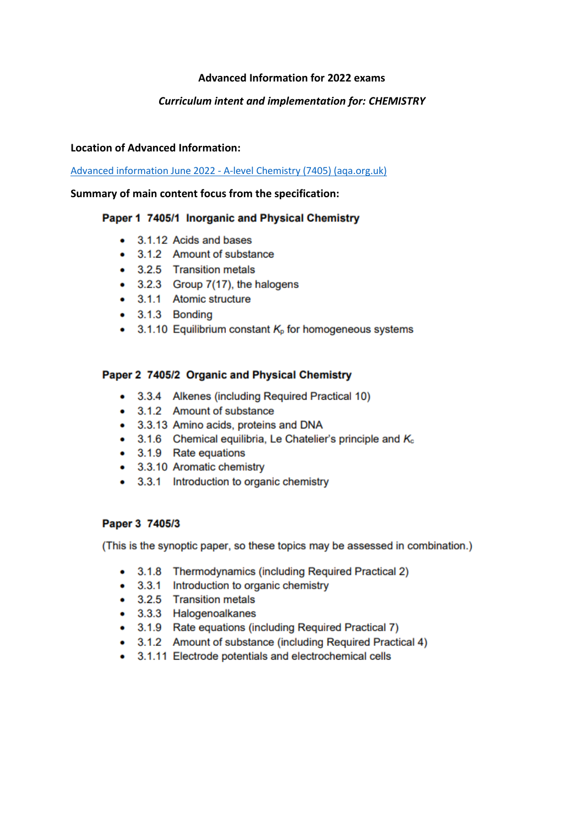## **Advanced Information for 2022 exams**

## **Curriculum intent and implementation for: CHEMISTRY**

#### **Location of Advanced Information:**

Advanced information June 2022 - A-level Chemistry (7405) (aga.org.uk)

#### Summary of main content focus from the specification:

### Paper 1 7405/1 Inorganic and Physical Chemistry

- 3.1.12 Acids and bases
- 3.1.2 Amount of substance
- 3.2.5 Transition metals
- 3.2.3 Group 7(17), the halogens
- 3.1.1 Atomic structure
- $\bullet$  3.1.3 Bonding
- 3.1.10 Equilibrium constant  $K_0$  for homogeneous systems

### Paper 2 7405/2 Organic and Physical Chemistry

- 3.3.4 Alkenes (including Required Practical 10)
- 3.1.2 Amount of substance
- 3.3.13 Amino acids, proteins and DNA
- 3.1.6 Chemical equilibria, Le Chatelier's principle and  $K_c$
- 3.1.9 Rate equations
- 3.3.10 Aromatic chemistry
- 3.3.1 Introduction to organic chemistry

### Paper 3 7405/3

(This is the synoptic paper, so these topics may be assessed in combination.)

- 3.1.8 Thermodynamics (including Required Practical 2)
- 3.3.1 Introduction to organic chemistry
- 3.2.5 Transition metals
- 3.3.3 Halogenoalkanes
- 3.1.9 Rate equations (including Required Practical 7)
- 3.1.2 Amount of substance (including Required Practical 4)
- 3.1.11 Electrode potentials and electrochemical cells